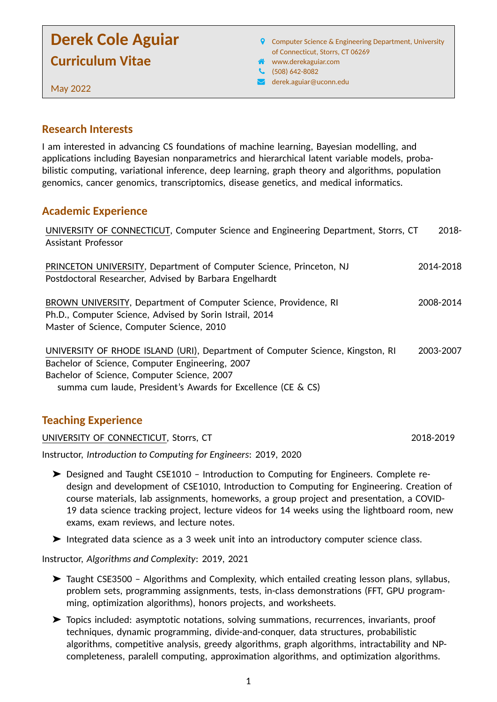# **Derek Cole Aguiar Curriculum Vitae**

- **9** Computer Science & Engineering Department, University of Connecticut, Storrs, CT 06269
- www.derekaguiar.com
- (508) 642-8082
- [R](mailto:derek.aguiar@uconn.edu) derek.aguiar@uconn.edu

May 2022

#### **Research Interests**

I am interested in advancing CS foundations of machine learning, Bayesian modelling, and applications including Bayesian nonparametrics and hierarchical latent variable models, probabilistic computing, variational inference, deep learning, graph theory and algorithms, population genomics, cancer genomics, transcriptomics, disease genetics, and medical informatics.

### **Academic Experience**

| UNIVERSITY OF CONNECTICUT, Computer Science and Engineering Department, Storrs, CT<br><b>Assistant Professor</b>                                                                                                                                 | $2018 -$  |
|--------------------------------------------------------------------------------------------------------------------------------------------------------------------------------------------------------------------------------------------------|-----------|
| PRINCETON UNIVERSITY, Department of Computer Science, Princeton, NJ<br>Postdoctoral Researcher, Advised by Barbara Engelhardt                                                                                                                    | 2014-2018 |
| BROWN UNIVERSITY, Department of Computer Science, Providence, RI<br>Ph.D., Computer Science, Advised by Sorin Istrail, 2014<br>Master of Science, Computer Science, 2010                                                                         | 2008-2014 |
| UNIVERSITY OF RHODE ISLAND (URI), Department of Computer Science, Kingston, RI<br>Bachelor of Science, Computer Engineering, 2007<br>Bachelor of Science, Computer Science, 2007<br>summa cum laude, President's Awards for Excellence (CE & CS) | 2003-2007 |

# **Teaching Experience**

UNIVERSITY OF CONNECTICUT, Storrs, CT 2018-2019

Instructor, *Introduction to Computing for Engineers*: 2019, 2020

- ➤ Designed and Taught CSE1010 Introduction to Computing for Engineers. Complete redesign and development of CSE1010, Introduction to Computing for Engineering. Creation of course materials, lab assignments, homeworks, a group project and presentation, a COVID-19 data science tracking project, lecture videos for 14 weeks using the lightboard room, new exams, exam reviews, and lecture notes.
- ➤ Integrated data science as a 3 week unit into an introductory computer science class.

Instructor, *Algorithms and Complexity*: 2019, 2021

- ➤ Taught CSE3500 Algorithms and Complexity, which entailed creating lesson plans, syllabus, problem sets, programming assignments, tests, in-class demonstrations (FFT, GPU programming, optimization algorithms), honors projects, and worksheets.
- ➤ Topics included: asymptotic notations, solving summations, recurrences, invariants, proof techniques, dynamic programming, divide-and-conquer, data structures, probabilistic algorithms, competitive analysis, greedy algorithms, graph algorithms, intractability and NPcompleteness, paralell computing, approximation algorithms, and optimization algorithms.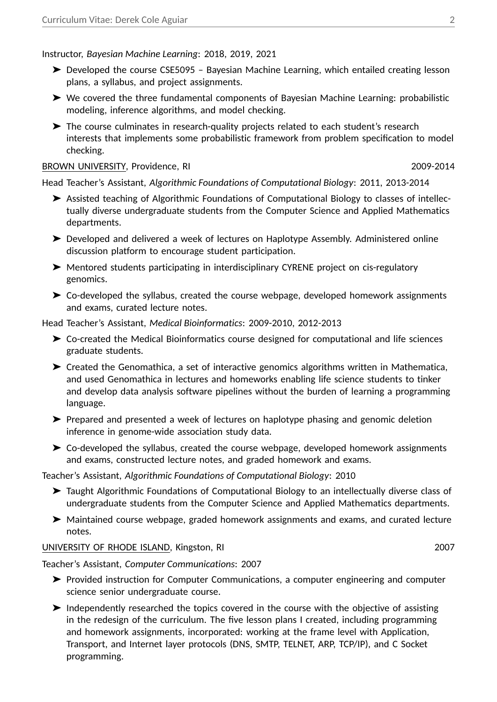Instructor, *Bayesian Machine Learning*: 2018, 2019, 2021

- ➤ Developed the course CSE5095 Bayesian Machine Learning, which entailed creating lesson plans, a syllabus, and project assignments.
- ➤ We covered the three fundamental components of Bayesian Machine Learning: probabilistic modeling, inference algorithms, and model checking.
- ➤ The course culminates in research-quality projects related to each student's research interests that implements some probabilistic framework from problem specification to model checking.

#### BROWN UNIVERSITY, Providence, RI 2009-2014

Head Teacher's Assistant, *Algorithmic Foundations of Computational Biology*: 2011, 2013-2014

- ➤ Assisted teaching of Algorithmic Foundations of Computational Biology to classes of intellectually diverse undergraduate students from the Computer Science and Applied Mathematics departments.
- ➤ Developed and delivered a week of lectures on Haplotype Assembly. Administered online discussion platform to encourage student participation.
- ➤ Mentored students participating in interdisciplinary CYRENE project on cis-regulatory genomics.
- ➤ Co-developed the syllabus, created the course webpage, developed homework assignments and exams, curated lecture notes.

Head Teacher's Assistant, *Medical Bioinformatics*: 2009-2010, 2012-2013

- ➤ Co-created the Medical Bioinformatics course designed for computational and life sciences graduate students.
- ➤ Created the Genomathica, a set of interactive genomics algorithms written in Mathematica, and used Genomathica in lectures and homeworks enabling life science students to tinker and develop data analysis software pipelines without the burden of learning a programming language.
- ➤ Prepared and presented a week of lectures on haplotype phasing and genomic deletion inference in genome-wide association study data.
- ➤ Co-developed the syllabus, created the course webpage, developed homework assignments and exams, constructed lecture notes, and graded homework and exams.

Teacher's Assistant, *Algorithmic Foundations of Computational Biology*: 2010

- ➤ Taught Algorithmic Foundations of Computational Biology to an intellectually diverse class of undergraduate students from the Computer Science and Applied Mathematics departments.
- ➤ Maintained course webpage, graded homework assignments and exams, and curated lecture notes.

#### UNIVERSITY OF RHODE ISLAND, Kingston, RI 2007

Teacher's Assistant, *Computer Communications*: 2007

- ➤ Provided instruction for Computer Communications, a computer engineering and computer science senior undergraduate course.
- ➤ Independently researched the topics covered in the course with the objective of assisting in the redesign of the curriculum. The five lesson plans I created, including programming and homework assignments, incorporated: working at the frame level with Application, Transport, and Internet layer protocols (DNS, SMTP, TELNET, ARP, TCP/IP), and C Socket programming.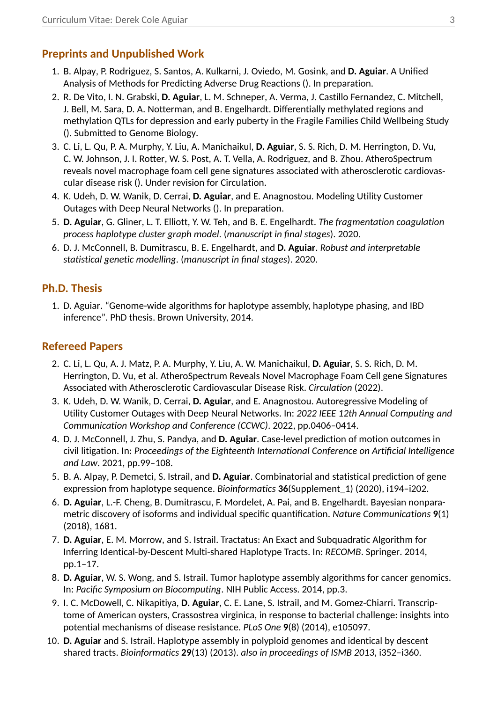# **Preprints and Unpublished Work**

- 1. B. Alpay, P. Rodriguez, S. Santos, A. Kulkarni, J. Oviedo, M. Gosink, and **D. Aguiar**. A Unified Analysis of Methods for Predicting Adverse Drug Reactions (). In preparation.
- 2. R. De Vito, I. N. Grabski, **D. Aguiar**, L. M. Schneper, A. Verma, J. Castillo Fernandez, C. Mitchell, J. Bell, M. Sara, D. A. Notterman, and B. Engelhardt. Differentially methylated regions and methylation QTLs for depression and early puberty in the Fragile Families Child Wellbeing Study (). Submitted to Genome Biology.
- 3. C. Li, L. Qu, P. A. Murphy, Y. Liu, A. Manichaikul, **D. Aguiar**, S. S. Rich, D. M. Herrington, D. Vu, C. W. Johnson, J. I. Rotter, W. S. Post, A. T. Vella, A. Rodriguez, and B. Zhou. AtheroSpectrum reveals novel macrophage foam cell gene signatures associated with atherosclerotic cardiovascular disease risk (). Under revision for Circulation.
- 4. K. Udeh, D. W. Wanik, D. Cerrai, **D. Aguiar**, and E. Anagnostou. Modeling Utility Customer Outages with Deep Neural Networks (). In preparation.
- 5. **D. Aguiar**, G. Gliner, L. T. Elliott, Y. W. Teh, and B. E. Engelhardt. *The fragmentation coagulation process haplotype cluster graph model*. (*manuscript in final stages*). 2020.
- 6. D. J. McConnell, B. Dumitrascu, B. E. Engelhardt, and **D. Aguiar**. *Robust and interpretable statistical genetic modelling*. (*manuscript in final stages*). 2020.

# **Ph.D. Thesis**

1. D. Aguiar. "Genome-wide algorithms for haplotype assembly, haplotype phasing, and IBD inference". PhD thesis. Brown University, 2014.

### **Refereed Papers**

- 2. C. Li, L. Qu, A. J. Matz, P. A. Murphy, Y. Liu, A. W. Manichaikul, **D. Aguiar**, S. S. Rich, D. M. Herrington, D. Vu, et al. AtheroSpectrum Reveals Novel Macrophage Foam Cell gene Signatures Associated with Atherosclerotic Cardiovascular Disease Risk. *Circulation* (2022).
- 3. K. Udeh, D. W. Wanik, D. Cerrai, **D. Aguiar**, and E. Anagnostou. Autoregressive Modeling of Utility Customer Outages with Deep Neural Networks. In: *2022 IEEE 12th Annual Computing and Communication Workshop and Conference (CCWC)*. 2022, pp.0406–0414.
- 4. D. J. McConnell, J. Zhu, S. Pandya, and **D. Aguiar**. Case-level prediction of motion outcomes in civil litigation. In: *Proceedings of the Eighteenth International Conference on Artificial Intelligence and Law*. 2021, pp.99–108.
- 5. B. A. Alpay, P. Demetci, S. Istrail, and **D. Aguiar**. Combinatorial and statistical prediction of gene expression from haplotype sequence. *Bioinformatics* **36**(Supplement\_1) (2020), i194–i202.
- 6. **D. Aguiar**, L.-F. Cheng, B. Dumitrascu, F. Mordelet, A. Pai, and B. Engelhardt. Bayesian nonparametric discovery of isoforms and individual specific quantification. *Nature Communications* **9**(1) (2018), 1681.
- 7. **D. Aguiar**, E. M. Morrow, and S. Istrail. Tractatus: An Exact and Subquadratic Algorithm for Inferring Identical-by-Descent Multi-shared Haplotype Tracts. In: *RECOMB*. Springer. 2014, pp.1–17.
- 8. **D. Aguiar**, W. S. Wong, and S. Istrail. Tumor haplotype assembly algorithms for cancer genomics. In: *Pacific Symposium on Biocomputing*. NIH Public Access. 2014, pp.3.
- 9. I. C. McDowell, C. Nikapitiya, **D. Aguiar**, C. E. Lane, S. Istrail, and M. Gomez-Chiarri. Transcriptome of American oysters, Crassostrea virginica, in response to bacterial challenge: insights into potential mechanisms of disease resistance. *PLoS One* **9**(8) (2014), e105097.
- 10. **D. Aguiar** and S. Istrail. Haplotype assembly in polyploid genomes and identical by descent shared tracts. *Bioinformatics* **29**(13) (2013). *also in proceedings of ISMB 2013*, i352–i360.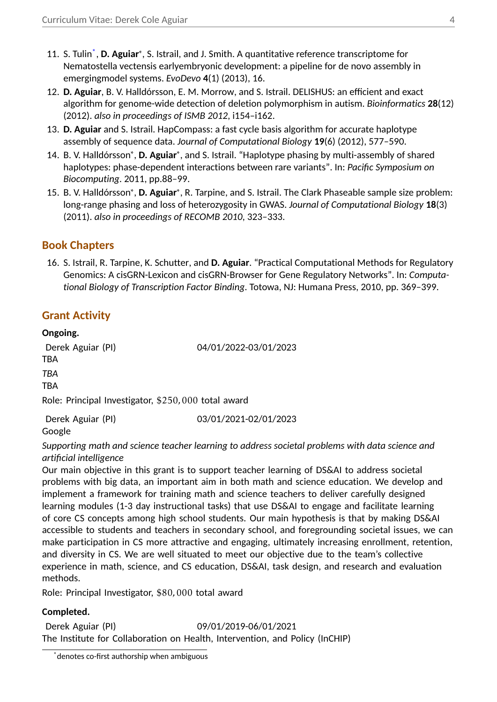- 11. S. Tulin<sup>[\\*](#page-3-0)</sup>, D. Aguiar<sup>\*</sup>, S. Istrail, and J. Smith. A quantitative reference transcriptome for Nematostella vectensis earlyembryonic development: a pipeline for de novo assembly in emergingmodel systems. *EvoDevo* **4**(1) (2013), 16.
- 12. **D. Aguiar**, B. V. Halldórsson, E. M. Morrow, and S. Istrail. DELISHUS: an efficient and exact algorithm for genome-wide detection of deletion polymorphism in autism. *Bioinformatics* **28**(12) (2012). *also in proceedings of ISMB 2012*, i154–i162.
- 13. **D. Aguiar** and S. Istrail. HapCompass: a fast cycle basis algorithm for accurate haplotype assembly of sequence data. *Journal of Computational Biology* **19**(6) (2012), 577–590.
- 14. B. V. Halldórsson<sup>∗</sup>, **D. Aguiar**<sup>\*</sup>, and S. Istrail. "Haplotype phasing by multi-assembly of shared haplotypes: phase-dependent interactions between rare variants". In: *Pacific Symposium on Biocomputing*. 2011, pp.88–99.
- 15. B. V. Halldórsson<sup>∗</sup>, **D. Aguiar**<sup>∗</sup>, R. Tarpine, and S. Istrail. The Clark Phaseable sample size problem: long-range phasing and loss of heterozygosity in GWAS. *Journal of Computational Biology* **18**(3) (2011). *also in proceedings of RECOMB 2010*, 323–333.

# **Book Chapters**

16. S. Istrail, R. Tarpine, K. Schutter, and **D. Aguiar**. "Practical Computational Methods for Regulatory Genomics: A cisGRN-Lexicon and cisGRN-Browser for Gene Regulatory Networks". In: *Computational Biology of Transcription Factor Binding*. Totowa, NJ: Humana Press, 2010, pp. 369–399.

# **Grant Activity**

# **Ongoing.**

Derek Aguiar (PI) 04/01/2022-03/01/2023 TBA *TBA* TBA Role: Principal Investigator, \$250*,*000 total award

Derek Aguiar (PI) 03/01/2021-02/01/2023

Google

*Supporting math and science teacher learning to address societal problems with data science and artificial intelligence*

Our main objective in this grant is to support teacher learning of DS&AI to address societal problems with big data, an important aim in both math and science education. We develop and implement a framework for training math and science teachers to deliver carefully designed learning modules (1-3 day instructional tasks) that use DS&AI to engage and facilitate learning of core CS concepts among high school students. Our main hypothesis is that by making DS&AI accessible to students and teachers in secondary school, and foregrounding societal issues, we can make participation in CS more attractive and engaging, ultimately increasing enrollment, retention, and diversity in CS. We are well situated to meet our objective due to the team's collective experience in math, science, and CS education, DS&AI, task design, and research and evaluation methods.

Role: Principal Investigator, \$80*,*000 total award

### **Completed.**

Derek Aguiar (PI) 09/01/2019-06/01/2021 The Institute for Collaboration on Health, Intervention, and Policy (InCHIP)

<span id="page-3-0"></span>denotes co-first authorship when ambiguous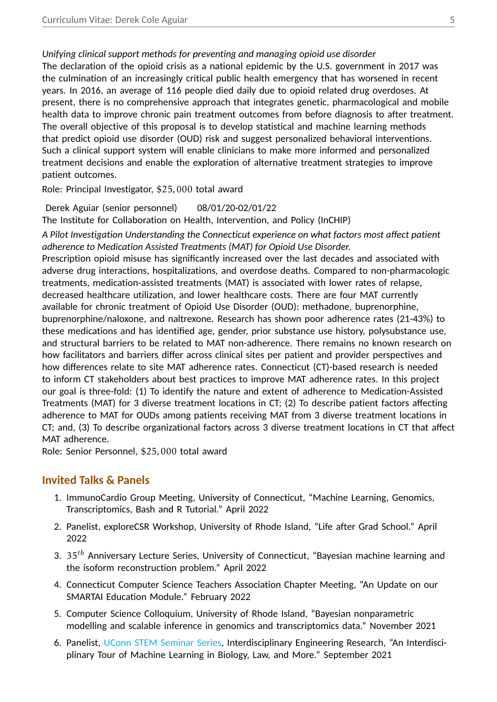*Unifying clinical support methods for preventing and managing opioid use disorder*

The declaration of the opioid crisis as a national epidemic by the U.S. government in 2017 was the culmination of an increasingly critical public health emergency that has worsened in recent years. In 2016, an average of 116 people died daily due to opioid related drug overdoses. At present, there is no comprehensive approach that integrates genetic, pharmacological and mobile health data to improve chronic pain treatment outcomes from before diagnosis to after treatment. The overall objective of this proposal is to develop statistical and machine learning methods that predict opioid use disorder (OUD) risk and suggest personalized behavioral interventions. Such a clinical support system will enable clinicians to make more informed and personalized treatment decisions and enable the exploration of alternative treatment strategies to improve patient outcomes.

Role: Principal Investigator, \$25*,*000 total award

Derek Aguiar (senior personnel) 08/01/20-02/01/22

The Institute for Collaboration on Health, Intervention, and Policy (InCHIP)

*A Pilot Investigation Understanding the Connecticut experience on what factors most affect patient adherence to Medication Assisted Treatments (MAT) for Opioid Use Disorder.*

Prescription opioid misuse has significantly increased over the last decades and associated with adverse drug interactions, hospitalizations, and overdose deaths. Compared to non-pharmacologic treatments, medication-assisted treatments (MAT) is associated with lower rates of relapse, decreased healthcare utilization, and lower healthcare costs. There are four MAT currently available for chronic treatment of Opioid Use Disorder (OUD): methadone, buprenorphine, buprenorphine/naloxone, and naltrexone. Research has shown poor adherence rates (21-43%) to these medications and has identified age, gender, prior substance use history, polysubstance use, and structural barriers to be related to MAT non-adherence. There remains no known research on how facilitators and barriers differ across clinical sites per patient and provider perspectives and how differences relate to site MAT adherence rates. Connecticut (CT)-based research is needed to inform CT stakeholders about best practices to improve MAT adherence rates. In this project our goal is three-fold: (1) To identify the nature and extent of adherence to Medication-Assisted Treatments (MAT) for 3 diverse treatment locations in CT; (2) To describe patient factors affecting adherence to MAT for OUDs among patients receiving MAT from 3 diverse treatment locations in CT; and, (3) To describe organizational factors across 3 diverse treatment locations in CT that affect MAT adherence.

Role: Senior Personnel, \$25*,*000 total award

### **Invited Talks & Panels**

- 1. ImmunoCardio Group Meeting, University of Connecticut, "Machine Learning, Genomics, Transcriptomics, Bash and R Tutorial." April 2022
- 2. Panelist, exploreCSR Workshop, University of Rhode Island, "Life after Grad School." April 2022
- 3. 35*th* Anniversary Lecture Series, University of Connecticut, "Bayesian machine learning and the isoform reconstruction problem." April 2022
- 4. Connecticut Computer Science Teachers Association Chapter Meeting, "An Update on our SMARTAI Education Module." February 2022
- 5. Computer Science Colloquium, University of Rhode Island, "Bayesian nonparametric modelling and scalable inference in genomics and transcriptomics data." November 2021
- 6. Panelist, [UConn STEM Seminar Series,](https://ugradresearch.uconn.edu/stem-seminar-series/) Interdisciplinary Engineering Research, "An Interdisciplinary Tour of Machine Learning in Biology, Law, and More." September 2021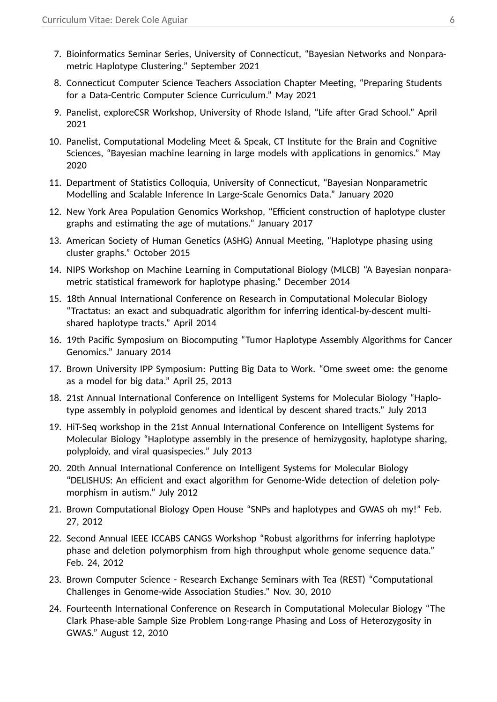- 7. Bioinformatics Seminar Series, University of Connecticut, "Bayesian Networks and Nonparametric Haplotype Clustering." September 2021
- 8. Connecticut Computer Science Teachers Association Chapter Meeting, "Preparing Students for a Data-Centric Computer Science Curriculum." May 2021
- 9. Panelist, exploreCSR Workshop, University of Rhode Island, "Life after Grad School." April 2021
- 10. Panelist, Computational Modeling Meet & Speak, CT Institute for the Brain and Cognitive Sciences, "Bayesian machine learning in large models with applications in genomics." May 2020
- 11. Department of Statistics Colloquia, University of Connecticut, "Bayesian Nonparametric Modelling and Scalable Inference In Large-Scale Genomics Data." January 2020
- 12. New York Area Population Genomics Workshop, "Efficient construction of haplotype cluster graphs and estimating the age of mutations." January 2017
- 13. American Society of Human Genetics (ASHG) Annual Meeting, "Haplotype phasing using cluster graphs." October 2015
- 14. NIPS Workshop on Machine Learning in Computational Biology (MLCB) "A Bayesian nonparametric statistical framework for haplotype phasing." December 2014
- 15. 18th Annual International Conference on Research in Computational Molecular Biology "Tractatus: an exact and subquadratic algorithm for inferring identical-by-descent multishared haplotype tracts." April 2014
- 16. 19th Pacific Symposium on Biocomputing "Tumor Haplotype Assembly Algorithms for Cancer Genomics." January 2014
- 17. Brown University IPP Symposium: Putting Big Data to Work. "Ome sweet ome: the genome as a model for big data." April 25, 2013
- 18. 21st Annual International Conference on Intelligent Systems for Molecular Biology "Haplotype assembly in polyploid genomes and identical by descent shared tracts." July 2013
- 19. HiT-Seq workshop in the 21st Annual International Conference on Intelligent Systems for Molecular Biology "Haplotype assembly in the presence of hemizygosity, haplotype sharing, polyploidy, and viral quasispecies." July 2013
- 20. 20th Annual International Conference on Intelligent Systems for Molecular Biology "DELISHUS: An efficient and exact algorithm for Genome-Wide detection of deletion polymorphism in autism." July 2012
- 21. Brown Computational Biology Open House "SNPs and haplotypes and GWAS oh my!" Feb. 27, 2012
- 22. Second Annual IEEE ICCABS CANGS Workshop "Robust algorithms for inferring haplotype phase and deletion polymorphism from high throughput whole genome sequence data." Feb. 24, 2012
- 23. Brown Computer Science Research Exchange Seminars with Tea (REST) "Computational Challenges in Genome-wide Association Studies." Nov. 30, 2010
- 24. Fourteenth International Conference on Research in Computational Molecular Biology "The Clark Phase-able Sample Size Problem Long-range Phasing and Loss of Heterozygosity in GWAS." August 12, 2010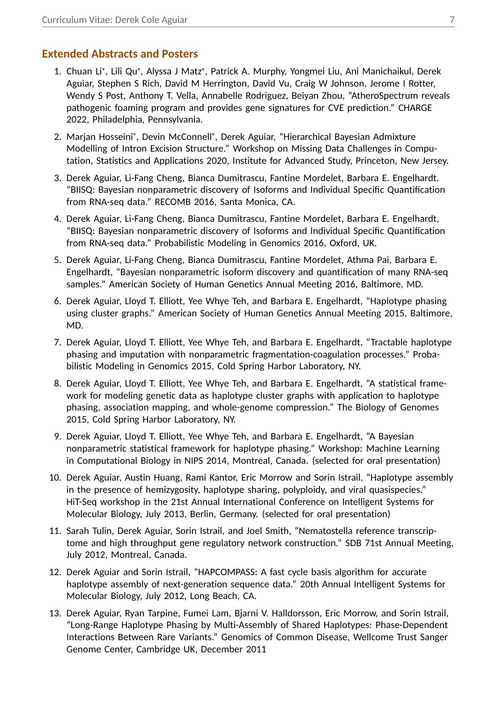#### **Extended Abstracts and Posters**

- 1. Chuan Li<sup>∗</sup>, Lili Qu<sup>∗</sup>, Alyssa J Matz<sup>∗</sup>, Patrick A. Murphy, Yongmei Liu, Ani Manichaikul, Derek Aguiar, Stephen S Rich, David M Herrington, David Vu, Craig W Johnson, Jerome I Rotter, Wendy S Post, Anthony T. Vella, Annabelle Rodriguez, Beiyan Zhou, "AtheroSpectrum reveals pathogenic foaming program and provides gene signatures for CVE prediction." CHARGE 2022, Philadelphia, Pennsylvania.
- 2. Marjan Hosseini<sup>∗</sup> , Devin McConnell<sup>∗</sup> , Derek Aguiar, "Hierarchical Bayesian Admixture Modelling of Intron Excision Structure." Workshop on Missing Data Challenges in Computation, Statistics and Applications 2020, Institute for Advanced Study, Princeton, New Jersey.
- 3. Derek Aguiar, Li-Fang Cheng, Bianca Dumitrascu, Fantine Mordelet, Barbara E. Engelhardt, "BIISQ: Bayesian nonparametric discovery of Isoforms and Individual Specific Quantification from RNA-seq data." RECOMB 2016, Santa Monica, CA.
- 4. Derek Aguiar, Li-Fang Cheng, Bianca Dumitrascu, Fantine Mordelet, Barbara E. Engelhardt, "BIISQ: Bayesian nonparametric discovery of Isoforms and Individual Specific Quantification from RNA-seq data." Probabilistic Modeling in Genomics 2016, Oxford, UK.
- 5. Derek Aguiar, Li-Fang Cheng, Bianca Dumitrascu, Fantine Mordelet, Athma Pai, Barbara E. Engelhardt, "Bayesian nonparametric isoform discovery and quantification of many RNA-seq samples." American Society of Human Genetics Annual Meeting 2016, Baltimore, MD.
- 6. Derek Aguiar, Lloyd T. Elliott, Yee Whye Teh, and Barbara E. Engelhardt, "Haplotype phasing using cluster graphs." American Society of Human Genetics Annual Meeting 2015, Baltimore, MD.
- 7. Derek Aguiar, Lloyd T. Elliott, Yee Whye Teh, and Barbara E. Engelhardt, "Tractable haplotype phasing and imputation with nonparametric fragmentation-coagulation processes." Probabilistic Modeling in Genomics 2015, Cold Spring Harbor Laboratory, NY.
- 8. Derek Aguiar, Lloyd T. Elliott, Yee Whye Teh, and Barbara E. Engelhardt, "A statistical framework for modeling genetic data as haplotype cluster graphs with application to haplotype phasing, association mapping, and whole-genome compression." The Biology of Genomes 2015, Cold Spring Harbor Laboratory, NY.
- 9. Derek Aguiar, Lloyd T. Elliott, Yee Whye Teh, and Barbara E. Engelhardt, "A Bayesian nonparametric statistical framework for haplotype phasing." Workshop: Machine Learning in Computational Biology in NIPS 2014, Montreal, Canada. (selected for oral presentation)
- 10. Derek Aguiar, Austin Huang, Rami Kantor, Eric Morrow and Sorin Istrail, "Haplotype assembly in the presence of hemizygosity, haplotype sharing, polyploidy, and viral quasispecies." HiT-Seq workshop in the 21st Annual International Conference on Intelligent Systems for Molecular Biology, July 2013, Berlin, Germany. (selected for oral presentation)
- 11. Sarah Tulin, Derek Aguiar, Sorin Istrail, and Joel Smith, "Nematostella reference transcriptome and high throughput gene regulatory network construction." SDB 71st Annual Meeting, July 2012, Montreal, Canada.
- 12. Derek Aguiar and Sorin Istrail, "HAPCOMPASS: A fast cycle basis algorithm for accurate haplotype assembly of next-generation sequence data." 20th Annual Intelligent Systems for Molecular Biology, July 2012, Long Beach, CA.
- 13. Derek Aguiar, Ryan Tarpine, Fumei Lam, Bjarni V. Halldorsson, Eric Morrow, and Sorin Istrail, "Long-Range Haplotype Phasing by Multi-Assembly of Shared Haplotypes: Phase-Dependent Interactions Between Rare Variants." Genomics of Common Disease, Wellcome Trust Sanger Genome Center, Cambridge UK, December 2011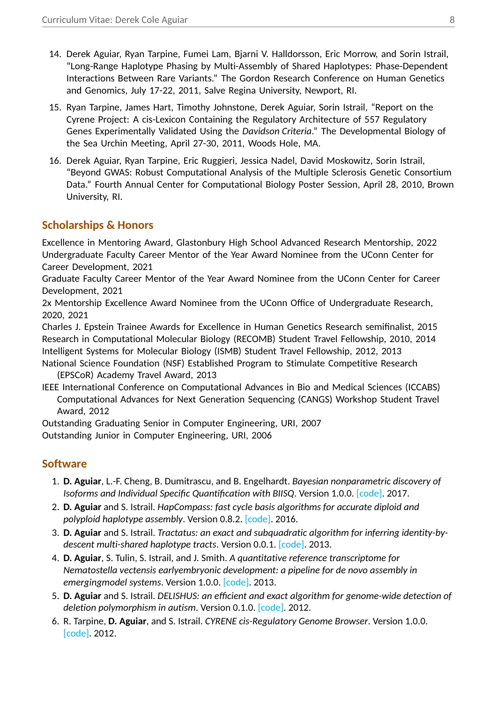- 14. Derek Aguiar, Ryan Tarpine, Fumei Lam, Bjarni V. Halldorsson, Eric Morrow, and Sorin Istrail, "Long-Range Haplotype Phasing by Multi-Assembly of Shared Haplotypes: Phase-Dependent Interactions Between Rare Variants." The Gordon Research Conference on Human Genetics and Genomics, July 17-22, 2011, Salve Regina University, Newport, RI.
- 15. Ryan Tarpine, James Hart, Timothy Johnstone, Derek Aguiar, Sorin Istrail, "Report on the Cyrene Project: A cis-Lexicon Containing the Regulatory Architecture of 557 Regulatory Genes Experimentally Validated Using the *Davidson Criteria*." The Developmental Biology of the Sea Urchin Meeting, April 27-30, 2011, Woods Hole, MA.
- 16. Derek Aguiar, Ryan Tarpine, Eric Ruggieri, Jessica Nadel, David Moskowitz, Sorin Istrail, "Beyond GWAS: Robust Computational Analysis of the Multiple Sclerosis Genetic Consortium Data." Fourth Annual Center for Computational Biology Poster Session, April 28, 2010, Brown University, RI.

# **Scholarships & Honors**

Excellence in Mentoring Award, Glastonbury High School Advanced Research Mentorship, 2022 Undergraduate Faculty Career Mentor of the Year Award Nominee from the UConn Center for Career Development, 2021

Graduate Faculty Career Mentor of the Year Award Nominee from the UConn Center for Career Development, 2021

2x Mentorship Excellence Award Nominee from the UConn Office of Undergraduate Research, 2020, 2021

Charles J. Epstein Trainee Awards for Excellence in Human Genetics Research semifinalist, 2015 Research in Computational Molecular Biology (RECOMB) Student Travel Fellowship, 2010, 2014 Intelligent Systems for Molecular Biology (ISMB) Student Travel Fellowship, 2012, 2013

National Science Foundation (NSF) Established Program to Stimulate Competitive Research (EPSCoR) Academy Travel Award, 2013

IEEE International Conference on Computational Advances in Bio and Medical Sciences (ICCABS) Computational Advances for Next Generation Sequencing (CANGS) Workshop Student Travel Award, 2012

Outstanding Graduating Senior in Computer Engineering, URI, 2007

Outstanding Junior in Computer Engineering, URI, 2006

# **Software**

- 1. **D. Aguiar**, L.-F. Cheng, B. Dumitrascu, and B. Engelhardt. *Bayesian nonparametric discovery of Isoforms and Individual Specific Quantification with BIISQ*. Version 1.0.0. [\[code\].](https://github.com/bee-hive/BIISQ) 2017.
- 2. **D. Aguiar** and S. Istrail. *HapCompass: fast cycle basis algorithms for accurate diploid and polyploid haplotype assembly*. Version 0.8.2. [\[code\].](https://www.brown.edu/Research/Istrail_Lab/hapcompass.php) 2016.
- 3. **D. Aguiar** and S. Istrail. *Tractatus: an exact and subquadratic algorithm for inferring identity-bydescent multi-shared haplotype tracts*. Version 0.0.1. [\[code\].](https://www.brown.edu/Research/Istrail_Lab/tractatus.php) 2013.
- 4. **D. Aguiar**, S. Tulin, S. Istrail, and J. Smith. *A quantitative reference transcriptome for Nematostella vectensis earlyembryonic development: a pipeline for de novo assembly in emergingmodel systems*. Version 1.0.0. [\[code\].](https://evodevojournal.biomedcentral.com/articles/10.1186/2041-9139-4-16#App1) 2013.
- 5. **D. Aguiar** and S. Istrail. *DELISHUS: an efficient and exact algorithm for genome-wide detection of deletion polymorphism in autism*. Version 0.1.0. [\[code\].](https://www.brown.edu/Research/Istrail_Lab/del_dl.php) 2012.
- 6. R. Tarpine, **D. Aguiar**, and S. Istrail. *CYRENE cis-Regulatory Genome Browser*. Version 1.0.0. [\[code\].](https://www.brown.edu/Research/Istrail_Lab/cyrene.php) 2012.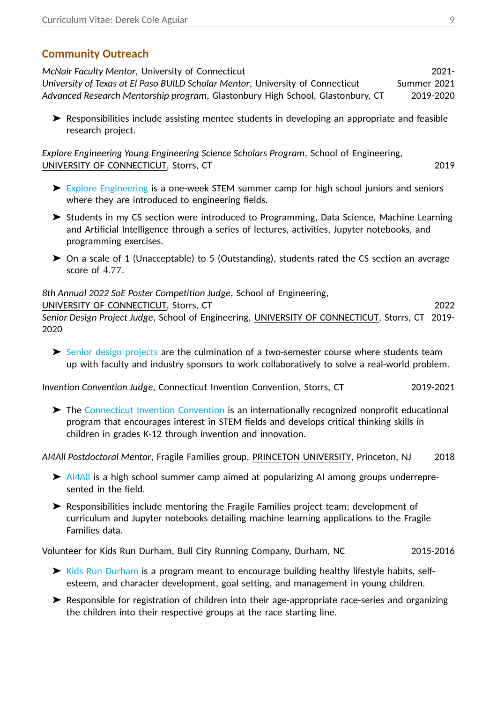# **Community Outreach**

*McNair Faculty Mentor*, University of Connecticut 2021- *University of Texas at El Paso BUILD Scholar Mentor, University of Connecticut* Summer 2021 *Advanced Research Mentorship program*, Glastonbury High School, Glastonbury, CT 2019-2020

➤ Responsibilities include assisting mentee students in developing an appropriate and feasible research project.

*Explore Engineering Young Engineering Science Scholars Program*, School of Engineering, UNIVERSITY OF CONNECTICUT, Storrs, CT 2019

- ➤ [Explore Engineering](http://edoc.engr.uconn.edu/explore-engineering/) is a one-week STEM summer camp for high school juniors and seniors where they are introduced to engineering fields.
- ➤ Students in my CS section were introduced to Programming, Data Science, Machine Learning and Artificial Intelligence through a series of lectures, activities, Jupyter notebooks, and programming exercises.
- ➤ On a scale of 1 (Unacceptable) to 5 (Outstanding), students rated the CS section an average score of 4*.*77.

*8th Annual 2022 SoE Poster Competition Judge*, School of Engineering,

UNIVERSITY OF CONNECTICUT, Storrs, CT 2022 *Senior Design Project Judge*, School of Engineering, UNIVERSITY OF CONNECTICUT, Storrs, CT 2019- 2020

➤ [Senior design projects](https://seniordesign.engr.uconn.edu/) are the culmination of a two-semester course where students team up with faculty and industry sponsors to work collaboratively to solve a real-world problem.

*Invention Convention Judge*, Connecticut Invention Convention, Storrs, CT 2019-2021

➤ The [Connecticut Invention Convention](https://www.ctinventionconvention.org/) is an internationally recognized nonprofit educational program that encourages interest in STEM fields and develops critical thinking skills in children in grades K-12 through invention and innovation.

*AI4All Postdoctoral Mentor*, Fragile Families group, PRINCETON UNIVERSITY, Princeton, NJ 2018

- ➤ [AI4All](http://ai-4-all.org/) is a high school summer camp aimed at popularizing AI among groups underrepresented in the field.
- ➤ Responsibilities include mentoring the Fragile Families project team; development of curriculum and Jupyter notebooks detailing machine learning applications to the Fragile Families data.

Volunteer for Kids Run Durham, Bull City Running Company, Durham, NC 2015-2016

- ➤ [Kids Run Durham](http://www.bullcityrunning.com/events/kids-run-durham/) is a program meant to encourage building healthy lifestyle habits, selfesteem, and character development, goal setting, and management in young children.
- ➤ Responsible for registration of children into their age-appropriate race-series and organizing the children into their respective groups at the race starting line.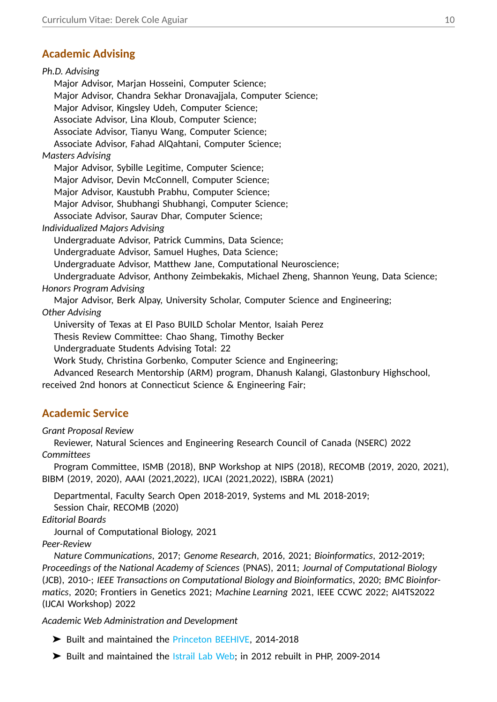# **Academic Advising**

*Ph.D. Advising* Major Advisor, Marjan Hosseini, Computer Science; Major Advisor, Chandra Sekhar Dronavajjala, Computer Science; Major Advisor, Kingsley Udeh, Computer Science; Associate Advisor, Lina Kloub, Computer Science; Associate Advisor, Tianyu Wang, Computer Science; Associate Advisor, Fahad AlQahtani, Computer Science; *Masters Advising* Major Advisor, Sybille Legitime, Computer Science; Major Advisor, Devin McConnell, Computer Science; Major Advisor, Kaustubh Prabhu, Computer Science; Major Advisor, Shubhangi Shubhangi, Computer Science; Associate Advisor, Saurav Dhar, Computer Science; *Individualized Majors Advising* Undergraduate Advisor, Patrick Cummins, Data Science; Undergraduate Advisor, Samuel Hughes, Data Science; Undergraduate Advisor, Matthew Jane, Computational Neuroscience; Undergraduate Advisor, Anthony Zeimbekakis, Michael Zheng, Shannon Yeung, Data Science; *Honors Program Advising* Major Advisor, Berk Alpay, University Scholar, Computer Science and Engineering; *Other Advising* University of Texas at El Paso BUILD Scholar Mentor, Isaiah Perez Thesis Review Committee: Chao Shang, Timothy Becker Undergraduate Students Advising Total: 22 Work Study, Christina Gorbenko, Computer Science and Engineering; Advanced Research Mentorship (ARM) program, Dhanush Kalangi, Glastonbury Highschool, received 2nd honors at Connecticut Science & Engineering Fair;

# **Academic Service**

*Grant Proposal Review*

Reviewer, Natural Sciences and Engineering Research Council of Canada (NSERC) 2022 *Committees*

Program Committee, ISMB (2018), BNP Workshop at NIPS (2018), RECOMB (2019, 2020, 2021), BIBM (2019, 2020), AAAI (2021,2022), IJCAI (2021,2022), ISBRA (2021)

Departmental, Faculty Search Open 2018-2019, Systems and ML 2018-2019; Session Chair, RECOMB (2020)

*Editorial Boards*

Journal of Computational Biology, 2021

*Peer-Review*

*Nature Communications*, 2017; *Genome Research*, 2016, 2021; *Bioinformatics*, 2012-2019; *Proceedings of the National Academy of Sciences* (PNAS), 2011; *Journal of Computational Biology* (JCB), 2010-; *IEEE Transactions on Computational Biology and Bioinformatics*, 2020; *BMC Bioinformatics*, 2020; Frontiers in Genetics 2021; *Machine Learning* 2021, IEEE CCWC 2022; AI4TS2022 (IJCAI Workshop) 2022

#### *Academic Web Administration and Development*

- ➤ Built and maintained the [Princeton BEEHIVE,](http://beehive.cs.princeton.edu/) 2014-2018
- ➤ Built and maintained the [Istrail Lab Web;](http://www.brown.edu/Research/Istrail_Lab/) in 2012 rebuilt in PHP, 2009-2014